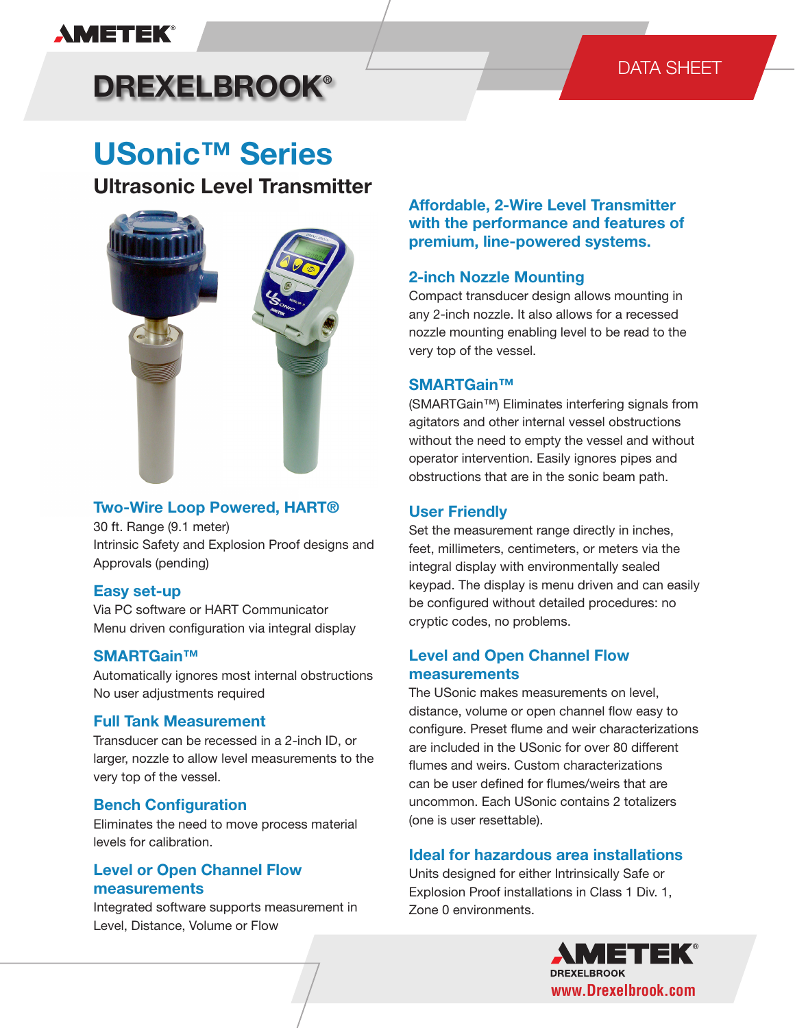# **AMETEK®**

# DATA SHEET

# **DREXELBROOK®**

# **USonic™ Series**

# **Ultrasonic Level Transmitter**



#### **Two-Wire Loop Powered, HART®**

30 ft. Range (9.1 meter) Intrinsic Safety and Explosion Proof designs and Approvals (pending)

#### **Easy set-up**

Via PC software or HART Communicator Menu driven configuration via integral display

#### **SMARTGain™**

Automatically ignores most internal obstructions No user adjustments required

#### **Full Tank Measurement**

Transducer can be recessed in a 2-inch ID, or larger, nozzle to allow level measurements to the very top of the vessel.

#### **Bench Configuration**

Eliminates the need to move process material levels for calibration.

### **Level or Open Channel Flow measurements**

Integrated software supports measurement in Level, Distance, Volume or Flow

**Affordable, 2-Wire Level Transmitter with the performance and features of premium, line-powered systems.**

#### **2-inch Nozzle Mounting**

Compact transducer design allows mounting in any 2-inch nozzle. It also allows for a recessed nozzle mounting enabling level to be read to the very top of the vessel.

#### **SMARTGain™**

(SMARTGain™) Eliminates interfering signals from agitators and other internal vessel obstructions without the need to empty the vessel and without operator intervention. Easily ignores pipes and obstructions that are in the sonic beam path.

#### **User Friendly**

Set the measurement range directly in inches, feet, millimeters, centimeters, or meters via the integral display with environmentally sealed keypad. The display is menu driven and can easily be configured without detailed procedures: no cryptic codes, no problems.

#### **Level and Open Channel Flow measurements**

The USonic makes measurements on level, distance, volume or open channel flow easy to configure. Preset flume and weir characterizations are included in the USonic for over 80 different flumes and weirs. Custom characterizations can be user defined for flumes/weirs that are uncommon. Each USonic contains 2 totalizers (one is user resettable).

#### **Ideal for hazardous area installations**

Units designed for either Intrinsically Safe or Explosion Proof installations in Class 1 Div. 1, Zone 0 environments.

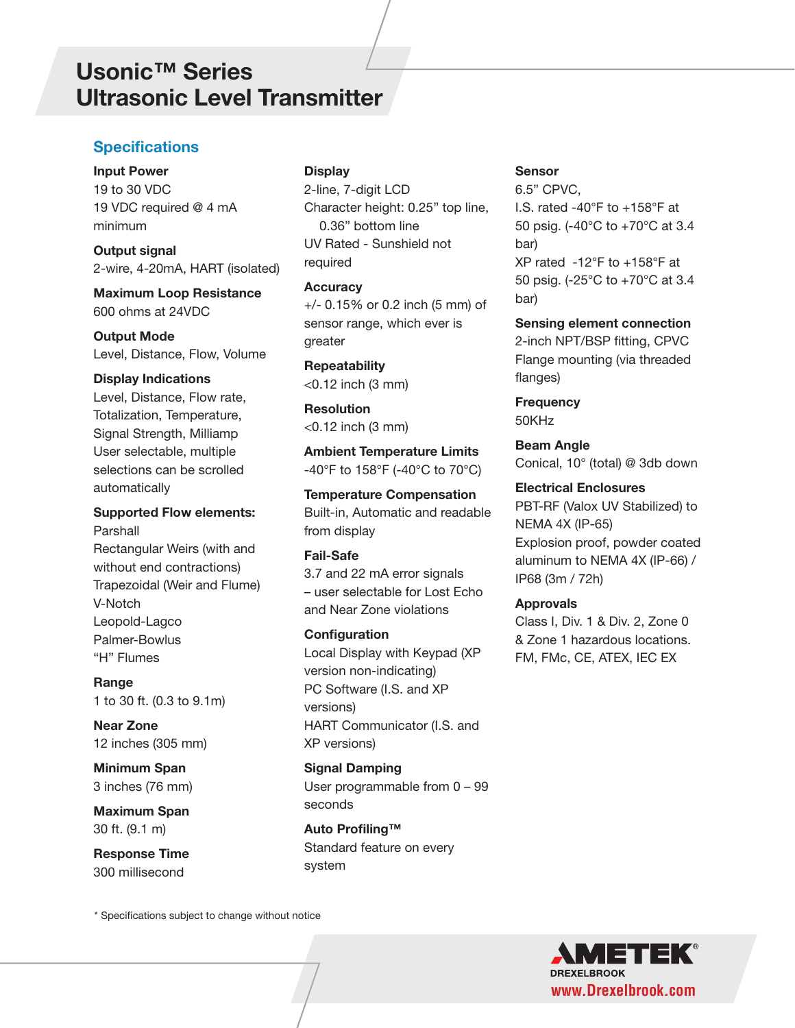# **Usonic™ Series Usonic™ Series Ultrasonic Level Transmitter**

### **Specifications**

**Input Power** 19 to 30 VDC 19 VDC required @ 4 mA minimum

**Output signal** 2-wire, 4-20mA, HART (isolated)

**Maximum Loop Resistance** 600 ohms at 24VDC

**Output Mode** Level, Distance, Flow, Volume

#### **Display Indications**

Level, Distance, Flow rate, Totalization, Temperature, Signal Strength, Milliamp User selectable, multiple selections can be scrolled automatically

#### **Supported Flow elements:** Parshall

Rectangular Weirs (with and without end contractions) Trapezoidal (Weir and Flume) V-Notch Leopold-Lagco Palmer-Bowlus "H" Flumes

**Range** 1 to 30 ft. (0.3 to 9.1m)

**Near Zone** 12 inches (305 mm)

**Minimum Span**  3 inches (76 mm)

**Maximum Span**  30 ft. (9.1 m)

**Response Time**  300 millisecond

\* Specifications subject to change without notice

#### **Display**

2-line, 7-digit LCD Character height: 0.25" top line, 0.36" bottom line UV Rated - Sunshield not required

**Accuracy** 

+/- 0.15% or 0.2 inch (5 mm) of sensor range, which ever is greater

**Repeatability**  <0.12 inch (3 mm)

**Resolution**  <0.12 inch (3 mm)

**Ambient Temperature Limits** -40°F to 158°F (-40°C to 70°C)

#### **Temperature Compensation**

Built-in, Automatic and readable from display

#### **Fail-Safe**

3.7 and 22 mA error signals – user selectable for Lost Echo and Near Zone violations

#### **Configuration**

Local Display with Keypad (XP version non-indicating) PC Software (I.S. and XP versions) HART Communicator (I.S. and XP versions)

**Signal Damping**  User programmable from 0 – 99 seconds

**Auto Profiling™** Standard feature on every system

#### **Sensor**

6.5" CPVC, I.S. rated -40°F to +158°F at 50 psig. (-40°C to +70°C at 3.4 bar) XP rated -12°F to +158°F at 50 psig. (-25°C to +70°C at 3.4 bar)

**Sensing element connection** 2-inch NPT/BSP fitting, CPVC Flange mounting (via threaded flanges)

**Frequency** 50KHz

**Beam Angle** Conical, 10° (total) @ 3db down

#### **Electrical Enclosures**

PBT-RF (Valox UV Stabilized) to NEMA 4X (IP-65) Explosion proof, powder coated aluminum to NEMA 4X (IP-66) / IP68 (3m / 72h)

#### **Approvals**

Class I, Div. 1 & Div. 2, Zone 0 & Zone 1 hazardous locations. FM, FMc, CE, ATEX, IEC EX

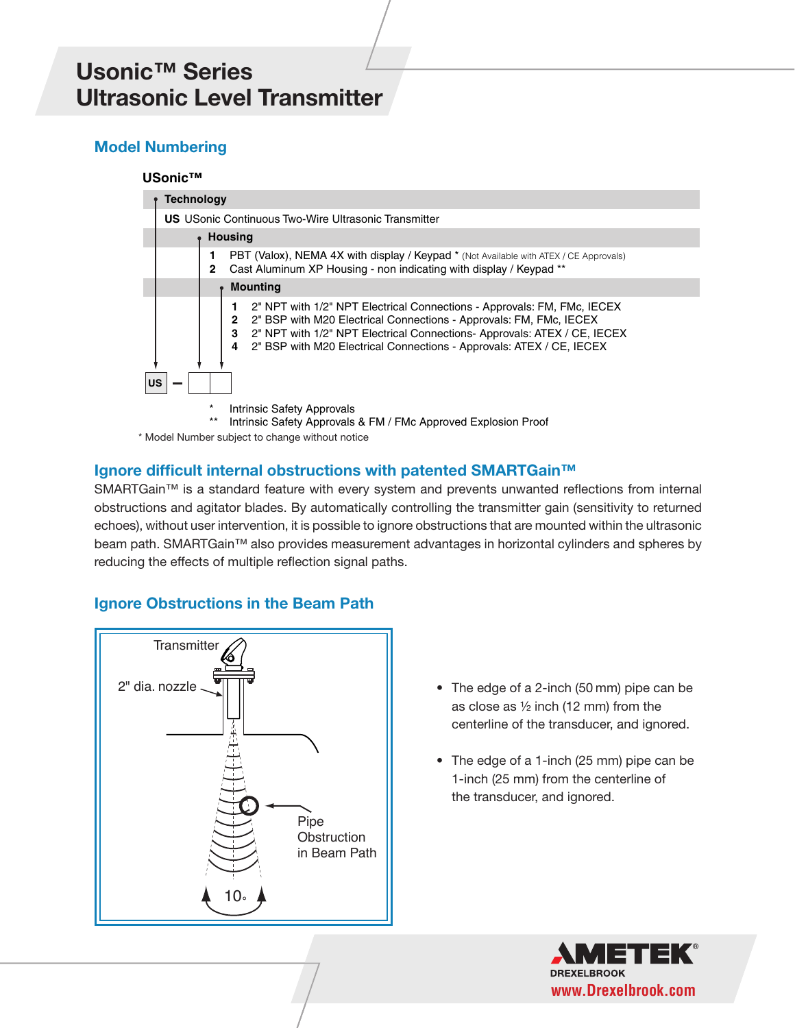# **Usonic™ Series Usonic™ Series Ultrasonic Level Transmitter**

# **Model Numbering**

#### **USonic™**



### **Ignore difficult internal obstructions with patented SMARTGain™**

SMARTGain™ is a standard feature with every system and prevents unwanted reflections from internal obstructions and agitator blades. By automatically controlling the transmitter gain (sensitivity to returned echoes), without user intervention, it is possible to ignore obstructions that are mounted within the ultrasonic beam path. SMARTGain™ also provides measurement advantages in horizontal cylinders and spheres by reducing the effects of multiple reflection signal paths.

### **Ignore Obstructions in the Beam Path**



- The edge of a 2-inch (50 mm) pipe can be as close as ½ inch (12 mm) from the centerline of the transducer, and ignored.
- The edge of a 1-inch (25 mm) pipe can be 1-inch (25 mm) from the centerline of the transducer, and ignored.